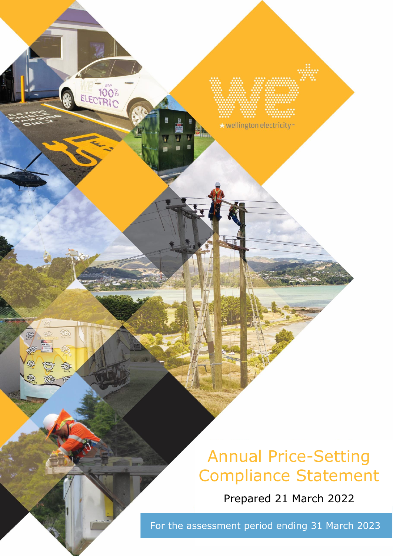# Annual Price-Setting Compliance Statement

Prepared 21 March 2022

For the assessment period ending 31 March 2023

\* wellington electricity\*\*

ELECTRIC

验

B

 $\widehat{\mathbb{D}}$ 

O

OC

G

垂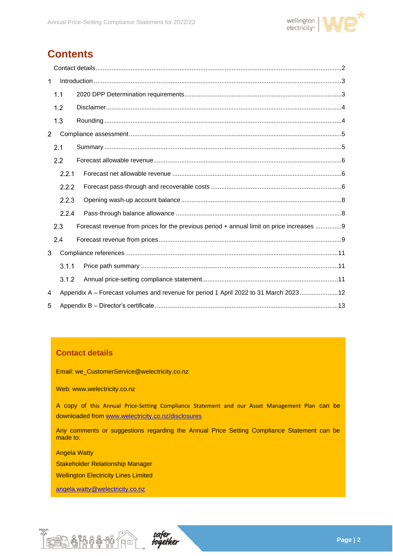

# **Contents**

| 1              |       |                                                                                        |
|----------------|-------|----------------------------------------------------------------------------------------|
|                | 1.1   |                                                                                        |
|                | 1.2   |                                                                                        |
|                | 1.3   |                                                                                        |
| $\overline{2}$ |       |                                                                                        |
|                | 2.1   |                                                                                        |
|                | 2.2   |                                                                                        |
|                | 2.2.1 |                                                                                        |
|                | 2.2.2 |                                                                                        |
|                | 2.2.3 |                                                                                        |
|                | 2.2.4 |                                                                                        |
|                | 2.3   | Forecast revenue from prices for the previous period + annual limit on price increases |
|                | 2.4   |                                                                                        |
| 3              |       |                                                                                        |
|                | 3.1.1 |                                                                                        |
|                | 3.1.2 |                                                                                        |
| 4              |       | Appendix A - Forecast volumes and revenue for period 1 April 2022 to 31 March 202312   |
| 5              |       |                                                                                        |

## **Contact details**

Email: we\_CustomerService@welectricity.co.nz

Web: www.welectricity.co.nz

A copy of this Annual Price-Setting Compliance Statement and our Asset Management Plan can be downloaded from [www.welectricity.co.nz/disclosures](http://www.welectricity.co.nz/disclosures)

Any comments or suggestions regarding the Annual Price Setting Compliance Statement can be made to:

Angela Watty

Stakeholder Relationship Manager

Wellington Electricity Lines Limited

[angela.watty@welectricity.co.nz](mailto:angela.watty@welectricity.co.nz)



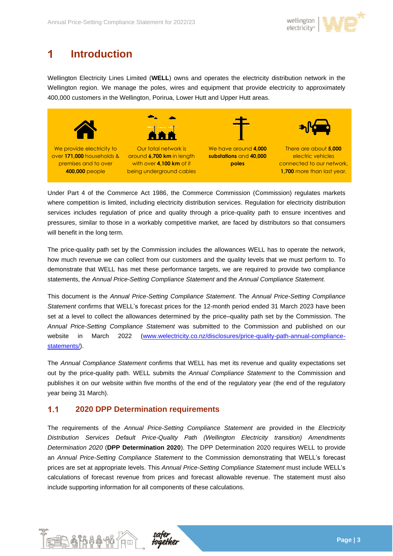

### <span id="page-2-0"></span>1 **Introduction**

Wellington Electricity Lines Limited (**WELL**) owns and operates the electricity distribution network in the Wellington region. We manage the poles, wires and equipment that provide electricity to approximately 400,000 customers in the Wellington, Porirua, Lower Hutt and Upper Hutt areas.



Under Part 4 of the Commerce Act 1986, the Commerce Commission (Commission) regulates markets where competition is limited, including electricity distribution services. Regulation for electricity distribution services includes regulation of price and quality through a price-quality path to ensure incentives and pressures, similar to those in a workably competitive market, are faced by distributors so that consumers will benefit in the long term.

The price-quality path set by the Commission includes the allowances WELL has to operate the network, how much revenue we can collect from our customers and the quality levels that we must perform to. To demonstrate that WELL has met these performance targets, we are required to provide two compliance statements, the *Annual Price-Setting Compliance Statement* and the *Annual Compliance Statement.*

This document is the *Annual Price-Setting Compliance Statement.* The *Annual Price-Setting Compliance Statement* confirms that WELL's forecast prices for the 12-month period ended 31 March 2023 have been set at a level to collect the allowances determined by the price–quality path set by the Commission. The *Annual Price-Setting Compliance Statement* was submitted to the Commission and published on our website in March 2022 [\(www.welectricity.co.nz/disclosures/price-quality-path-annual-compliance](http://www.welectricity.co.nz/disclosures/price-quality-path-annual-compliance-statements/)[statements/\)](http://www.welectricity.co.nz/disclosures/price-quality-path-annual-compliance-statements/).

The *Annual Compliance Statement* confirms that WELL has met its revenue and quality expectations set out by the price-quality path. WELL submits the *Annual Compliance Statement* to the Commission and publishes it on our website within five months of the end of the regulatory year (the end of the regulatory year being 31 March).

#### <span id="page-2-1"></span> $1.1$ **2020 DPP Determination requirements**

The requirements of the *Annual Price-Setting Compliance Statement* are provided in the *Electricity Distribution Services Default Price-Quality Path (Wellington Electricity transition) Amendments Determination 2020* (**DPP Determination 2020**). The DPP Determination 2020 requires WELL to provide an *Annual Price-Setting Compliance Statement* to the Commission demonstrating that WELL's forecast prices are set at appropriate levels. This *Annual Price-Setting Compliance Statement* must include WELL's calculations of forecast revenue from prices and forecast allowable revenue. The statement must also include supporting information for all components of these calculations.



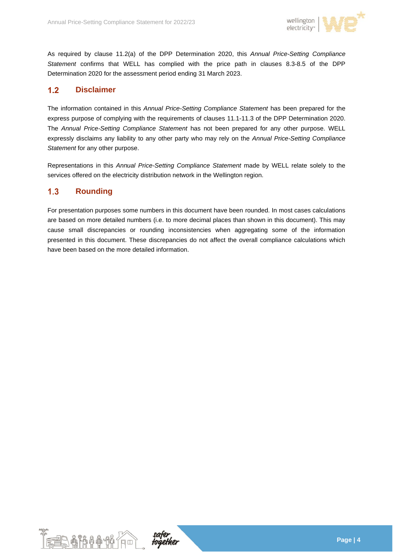

As required by clause 11.2(a) of the DPP Determination 2020, this *Annual Price-Setting Compliance Statement* confirms that WELL has complied with the price path in clauses 8.3-8.5 of the DPP Determination 2020 for the assessment period ending 31 March 2023.

#### <span id="page-3-0"></span> $1.2$ **Disclaimer**

The information contained in this *Annual Price-Setting Compliance Statement* has been prepared for the express purpose of complying with the requirements of clauses 11.1-11.3 of the DPP Determination 2020. The *Annual Price-Setting Compliance Statement* has not been prepared for any other purpose. WELL expressly disclaims any liability to any other party who may rely on the *Annual Price-Setting Compliance Statement* for any other purpose.

Representations in this *Annual Price-Setting Compliance Statement* made by WELL relate solely to the services offered on the electricity distribution network in the Wellington region.

#### <span id="page-3-1"></span> $1.3$ **Rounding**

For presentation purposes some numbers in this document have been rounded. In most cases calculations are based on more detailed numbers (i.e. to more decimal places than shown in this document). This may cause small discrepancies or rounding inconsistencies when aggregating some of the information presented in this document. These discrepancies do not affect the overall compliance calculations which have been based on the more detailed information.



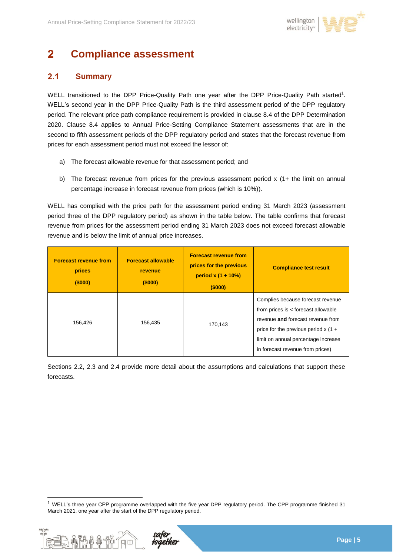

### <span id="page-4-0"></span> $\overline{2}$ **Compliance assessment**

#### <span id="page-4-1"></span> $2.1$ **Summary**

WELL transitioned to the DPP Price-Quality Path one year after the DPP Price-Quality Path started<sup>1</sup>. WELL's second year in the DPP Price-Quality Path is the third assessment period of the DPP regulatory period. The relevant price path compliance requirement is provided in clause 8.4 of the DPP Determination 2020. Clause 8.4 applies to Annual Price-Setting Compliance Statement assessments that are in the second to fifth assessment periods of the DPP regulatory period and states that the forecast revenue from prices for each assessment period must not exceed the lessor of:

- a) The forecast allowable revenue for that assessment period; and
- b) The forecast revenue from prices for the previous assessment period x (1+ the limit on annual percentage increase in forecast revenue from prices (which is 10%)).

WELL has complied with the price path for the assessment period ending 31 March 2023 (assessment period three of the DPP regulatory period) as shown in the table below. The table confirms that forecast revenue from prices for the assessment period ending 31 March 2023 does not exceed forecast allowable revenue and is below the limit of annual price increases.

| <b>Forecast revenue from</b><br>prices<br>(5000) | <b>Forecast allowable</b><br>revenue<br>(\$000) | <b>Forecast revenue from</b><br>prices for the previous<br>period $x(1 + 10\%)$<br>(5000) | <b>Compliance test result</b>                                                                                                                                                                                                      |
|--------------------------------------------------|-------------------------------------------------|-------------------------------------------------------------------------------------------|------------------------------------------------------------------------------------------------------------------------------------------------------------------------------------------------------------------------------------|
| 156,426                                          | 156.435                                         | 170,143                                                                                   | Complies because forecast revenue<br>from prices is < forecast allowable<br>revenue and forecast revenue from<br>price for the previous period x $(1 +$<br>limit on annual percentage increase<br>in forecast revenue from prices) |

Sections 2.2, 2.3 and 2.4 provide more detail about the assumptions and calculations that support these forecasts.

<sup>1</sup> WELL's three year CPP programme overlapped with the five year DPP regulatory period. The CPP programme finished 31 March 2021, one year after the start of the DPP regulatory period.

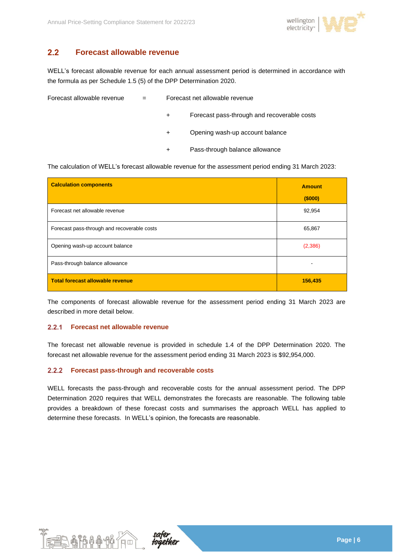

#### <span id="page-5-0"></span> $2.2$ **Forecast allowable revenue**

WELL's forecast allowable revenue for each annual assessment period is determined in accordance with the formula as per Schedule 1.5 (5) of the DPP Determination 2020.

| Forecast allowable revenue | $=$ | Forecast net allowable revenue |                                             |
|----------------------------|-----|--------------------------------|---------------------------------------------|
|                            |     | $+$                            | Forecast pass-through and recoverable costs |
|                            |     | $+$                            | Opening wash-up account balance             |
|                            |     | $\ddot{}$                      | Pass-through balance allowance              |

The calculation of WELL's forecast allowable revenue for the assessment period ending 31 March 2023:

| <b>Calculation components</b>               | <b>Amount</b> |
|---------------------------------------------|---------------|
|                                             | (\$000)       |
| Forecast net allowable revenue              | 92,954        |
| Forecast pass-through and recoverable costs | 65,867        |
| Opening wash-up account balance             | (2,386)       |
| Pass-through balance allowance              |               |
| Total forecast allowable revenue            | 156,435       |

The components of forecast allowable revenue for the assessment period ending 31 March 2023 are described in more detail below.

### <span id="page-5-1"></span>**Forecast net allowable revenue**

The forecast net allowable revenue is provided in schedule 1.4 of the DPP Determination 2020. The forecast net allowable revenue for the assessment period ending 31 March 2023 is \$92,954,000.

#### <span id="page-5-2"></span> $2.2.2$ **Forecast pass-through and recoverable costs**

WELL forecasts the pass-through and recoverable costs for the annual assessment period. The DPP Determination 2020 requires that WELL demonstrates the forecasts are reasonable. The following table provides a breakdown of these forecast costs and summarises the approach WELL has applied to determine these forecasts. In WELL's opinion, the forecasts are reasonable.



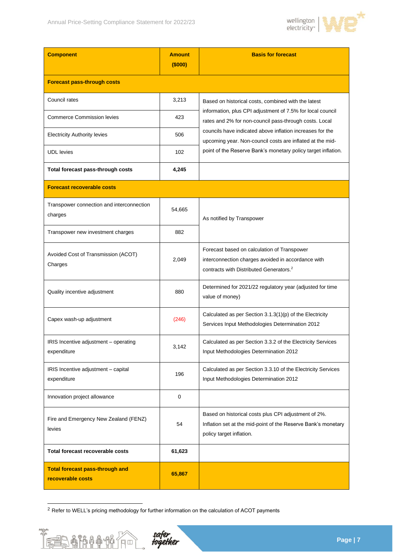

| <b>Component</b>                                            | <b>Amount</b><br>(\$000) | <b>Basis for forecast</b>                                                                                                                                |
|-------------------------------------------------------------|--------------------------|----------------------------------------------------------------------------------------------------------------------------------------------------------|
| <b>Forecast pass-through costs</b>                          |                          |                                                                                                                                                          |
| Council rates                                               | 3,213                    | Based on historical costs, combined with the latest                                                                                                      |
| <b>Commerce Commission levies</b>                           | 423                      | information, plus CPI adjustment of 7.5% for local council<br>rates and 2% for non-council pass-through costs. Local                                     |
| <b>Electricity Authority levies</b>                         | 506                      | councils have indicated above inflation increases for the<br>upcoming year. Non-council costs are inflated at the mid-                                   |
| <b>UDL</b> levies                                           | 102                      | point of the Reserve Bank's monetary policy target inflation.                                                                                            |
| Total forecast pass-through costs                           | 4,245                    |                                                                                                                                                          |
| <b>Forecast recoverable costs</b>                           |                          |                                                                                                                                                          |
| Transpower connection and interconnection<br>charges        | 54,665                   | As notified by Transpower                                                                                                                                |
| Transpower new investment charges                           | 882                      |                                                                                                                                                          |
| Avoided Cost of Transmission (ACOT)<br>Charges              | 2,049                    | Forecast based on calculation of Transpower<br>interconnection charges avoided in accordance with<br>contracts with Distributed Generators. <sup>2</sup> |
| Quality incentive adjustment                                | 880                      | Determined for 2021/22 regulatory year (adjusted for time<br>value of money)                                                                             |
| Capex wash-up adjustment                                    | (246)                    | Calculated as per Section 3.1.3(1)(p) of the Electricity<br>Services Input Methodologies Determination 2012                                              |
| IRIS Incentive adjustment - operating<br>expenditure        | 3,142                    | Calculated as per Section 3.3.2 of the Electricity Services<br>Input Methodologies Determination 2012                                                    |
| IRIS Incentive adjustment - capital<br>expenditure          | 196                      | Calculated as per Section 3.3.10 of the Electricity Services<br>Input Methodologies Determination 2012                                                   |
| Innovation project allowance                                | $\mathbf 0$              |                                                                                                                                                          |
| Fire and Emergency New Zealand (FENZ)<br>levies             | 54                       | Based on historical costs plus CPI adjustment of 2%.<br>Inflation set at the mid-point of the Reserve Bank's monetary<br>policy target inflation.        |
| Total forecast recoverable costs                            | 61,623                   |                                                                                                                                                          |
| <b>Total forecast pass-through and</b><br>recoverable costs | 65,867                   |                                                                                                                                                          |

<sup>2</sup> Refer to WELL's pricing methodology for further information on the calculation of ACOT payments

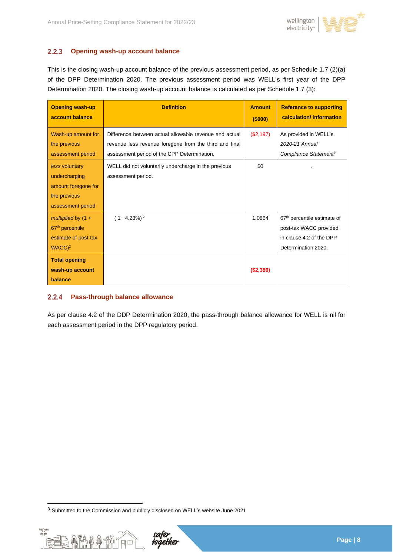

#### <span id="page-7-0"></span> $2.2.3$ **Opening wash-up account balance**

This is the closing wash-up account balance of the previous assessment period, as per Schedule 1.7 (2)(a) of the DPP Determination 2020. The previous assessment period was WELL's first year of the DPP Determination 2020. The closing wash-up account balance is calculated as per Schedule 1.7 (3):

| <b>Opening wash-up</b><br>account balance                                                        | <b>Definition</b>                                                                                                                                               | <b>Amount</b><br>(\$000) | <b>Reference to supporting</b><br>calculation/ information                                                           |
|--------------------------------------------------------------------------------------------------|-----------------------------------------------------------------------------------------------------------------------------------------------------------------|--------------------------|----------------------------------------------------------------------------------------------------------------------|
| Wash-up amount for<br>the previous<br>assessment period                                          | Difference between actual allowable revenue and actual<br>revenue less revenue foregone from the third and final<br>assessment period of the CPP Determination. | (\$2,197)                | As provided in WELL's<br>2020-21 Annual<br>Compliance Statement <sup>3</sup>                                         |
| less voluntary<br>undercharging<br>amount foregone for<br>the previous<br>assessment period      | WELL did not voluntarily undercharge in the previous<br>assessment period.                                                                                      | \$0                      |                                                                                                                      |
| multiplied by $(1 +$<br>67 <sup>th</sup> percentile<br>estimate of post-tax<br>WACC <sup>2</sup> | $(1+4.23\%)^2$                                                                                                                                                  | 1.0864                   | 67 <sup>th</sup> percentile estimate of<br>post-tax WACC provided<br>in clause 4.2 of the DPP<br>Determination 2020. |
| <b>Total opening</b><br>wash-up account<br>balance                                               |                                                                                                                                                                 | (\$2,386)                |                                                                                                                      |

#### <span id="page-7-1"></span> $2.2.4$ **Pass-through balance allowance**

As per clause 4.2 of the DDP Determination 2020, the pass-through balance allowance for WELL is nil for each assessment period in the DPP regulatory period.

<sup>3</sup> Submitted to the Commission and publicly disclosed on WELL's website June 2021

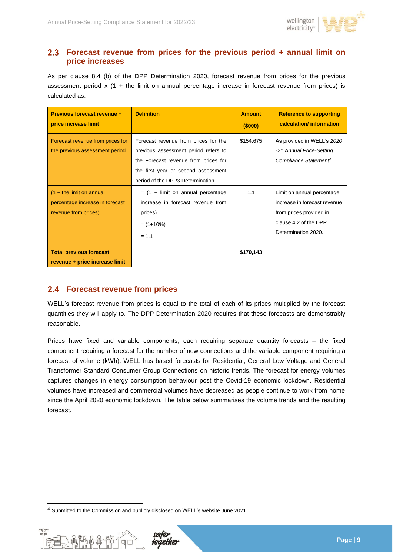

## <span id="page-8-0"></span>**Forecast revenue from prices for the previous period + annual limit on price increases**

As per clause 8.4 (b) of the DPP Determination 2020, forecast revenue from prices for the previous assessment period  $x$  (1 + the limit on annual percentage increase in forecast revenue from prices) is calculated as:

| Previous forecast revenue +<br>price increase limit                                   | <b>Definition</b>                                                                                                                                                                                | <b>Amount</b><br>(\$000) | <b>Reference to supporting</b><br>calculation/ information                                                                            |
|---------------------------------------------------------------------------------------|--------------------------------------------------------------------------------------------------------------------------------------------------------------------------------------------------|--------------------------|---------------------------------------------------------------------------------------------------------------------------------------|
| Forecast revenue from prices for<br>the previous assessment period                    | Forecast revenue from prices for the<br>previous assessment period refers to<br>the Forecast revenue from prices for<br>the first year or second assessment<br>period of the DPP3 Determination. | \$154,675                | As provided in WELL's 2020<br>-21 Annual Price-Setting<br>Compliance Statement <sup>4</sup>                                           |
| $(1 +$ the limit on annual<br>percentage increase in forecast<br>revenue from prices) | $=$ (1 + limit on annual percentage<br>increase in forecast revenue from<br>prices)<br>$= (1+10\%)$<br>$= 1.1$                                                                                   | 1.1                      | Limit on annual percentage<br>increase in forecast revenue<br>from prices provided in<br>clause 4.2 of the DPP<br>Determination 2020. |
| <b>Total previous forecast</b><br>revenue + price increase limit                      |                                                                                                                                                                                                  | \$170,143                |                                                                                                                                       |

# <span id="page-8-1"></span>**Forecast revenue from prices**

WELL's forecast revenue from prices is equal to the total of each of its prices multiplied by the forecast quantities they will apply to. The DPP Determination 2020 requires that these forecasts are demonstrably reasonable.

Prices have fixed and variable components, each requiring separate quantity forecasts – the fixed component requiring a forecast for the number of new connections and the variable component requiring a forecast of volume (kWh). WELL has based forecasts for Residential, General Low Voltage and General Transformer Standard Consumer Group Connections on historic trends. The forecast for energy volumes captures changes in energy consumption behaviour post the Covid-19 economic lockdown. Residential volumes have increased and commercial volumes have decreased as people continue to work from home since the April 2020 economic lockdown. The table below summarises the volume trends and the resulting forecast.

<sup>4</sup> Submitted to the Commission and publicly disclosed on WELL's website June 2021

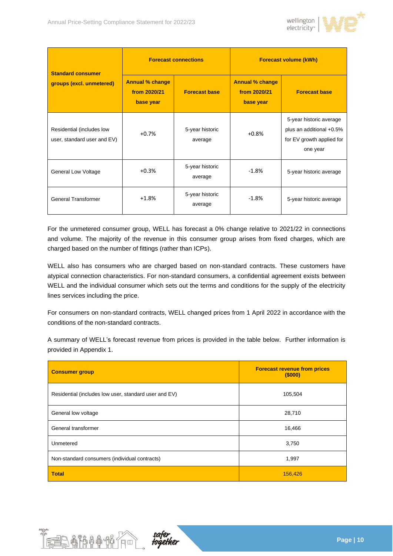

| <b>Standard consumer</b>                                 | <b>Forecast connections</b>                         |                            | <b>Forecast volume (kWh)</b>                        |                                                                                              |  |
|----------------------------------------------------------|-----------------------------------------------------|----------------------------|-----------------------------------------------------|----------------------------------------------------------------------------------------------|--|
| groups (excl. unmetered)                                 | <b>Annual % change</b><br>from 2020/21<br>base year | <b>Forecast base</b>       | <b>Annual % change</b><br>from 2020/21<br>base year | <b>Forecast base</b>                                                                         |  |
| Residential (includes low<br>user, standard user and EV) | $+0.7%$                                             | 5-year historic<br>average | $+0.8%$                                             | 5-year historic average<br>plus an additional +0.5%<br>for EV growth applied for<br>one year |  |
| General Low Voltage                                      | $+0.3%$                                             | 5-year historic<br>average | $-1.8%$                                             | 5-year historic average                                                                      |  |
| <b>General Transformer</b>                               | $+1.8%$                                             | 5-year historic<br>average | $-1.8%$                                             | 5-year historic average                                                                      |  |

For the unmetered consumer group, WELL has forecast a 0% change relative to 2021/22 in connections and volume. The majority of the revenue in this consumer group arises from fixed charges, which are charged based on the number of fittings (rather than ICPs).

WELL also has consumers who are charged based on non-standard contracts. These customers have atypical connection characteristics. For non-standard consumers, a confidential agreement exists between WELL and the individual consumer which sets out the terms and conditions for the supply of the electricity lines services including the price.

For consumers on non-standard contracts, WELL changed prices from 1 April 2022 in accordance with the conditions of the non-standard contracts.

A summary of WELL's forecast revenue from prices is provided in the table below. Further information is provided in Appendix 1.

| <b>Consumer group</b>                                 | <b>Forecast revenue from prices</b><br>(\$000) |
|-------------------------------------------------------|------------------------------------------------|
| Residential (includes low user, standard user and EV) | 105,504                                        |
| General low voltage                                   | 28,710                                         |
| General transformer                                   | 16,466                                         |
| Unmetered                                             | 3,750                                          |
| Non-standard consumers (individual contracts)         | 1,997                                          |
| <b>Total</b>                                          | 156,426                                        |



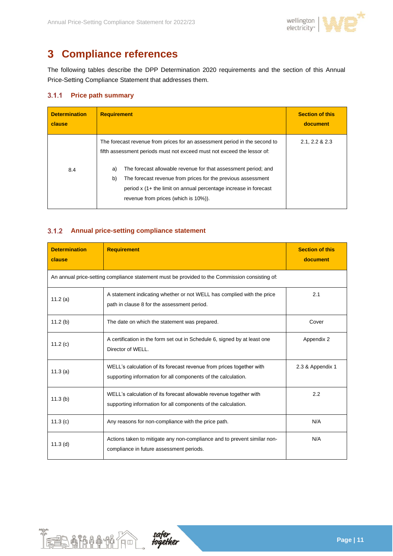

### <span id="page-10-0"></span>**Compliance references**  $\overline{\mathbf{3}}$

The following tables describe the DPP Determination 2020 requirements and the section of this Annual Price-Setting Compliance Statement that addresses them.

### <span id="page-10-1"></span>**Price path summary**

| <b>Determination</b><br>clause | <b>Requirement</b>                                                                                                                                                                                                                                                                                                                                                                                              | <b>Section of this</b><br>document |
|--------------------------------|-----------------------------------------------------------------------------------------------------------------------------------------------------------------------------------------------------------------------------------------------------------------------------------------------------------------------------------------------------------------------------------------------------------------|------------------------------------|
| 8.4                            | The forecast revenue from prices for an assessment period in the second to<br>fifth assessment periods must not exceed must not exceed the lessor of:<br>The forecast allowable revenue for that assessment period; and<br>a)<br>b)<br>The forecast revenue from prices for the previous assessment<br>period x (1+ the limit on annual percentage increase in forecast<br>revenue from prices (which is 10%)). | 2.1, 2.2 & 2.3                     |

### <span id="page-10-2"></span>**Annual price-setting compliance statement**

| <b>Determination</b><br>clause                                                                 | <b>Requirement</b>                                                                                                                    | <b>Section of this</b><br>document |
|------------------------------------------------------------------------------------------------|---------------------------------------------------------------------------------------------------------------------------------------|------------------------------------|
| An annual price-setting compliance statement must be provided to the Commission consisting of: |                                                                                                                                       |                                    |
| 11.2 $(a)$                                                                                     | A statement indicating whether or not WELL has complied with the price<br>path in clause 8 for the assessment period.                 | 2.1                                |
| 11.2(b)                                                                                        | The date on which the statement was prepared.                                                                                         | Cover                              |
| 11.2 $(c)$                                                                                     | A certification in the form set out in Schedule 6, signed by at least one<br>Director of WELL.                                        | Appendix 2                         |
| 11.3(a)                                                                                        | WELL's calculation of its forecast revenue from prices together with<br>supporting information for all components of the calculation. | 2.3 & Appendix 1                   |
| 11.3(b)                                                                                        | WELL's calculation of its forecast allowable revenue together with<br>supporting information for all components of the calculation.   | 2.2                                |
| 11.3(c)                                                                                        | Any reasons for non-compliance with the price path.                                                                                   | N/A                                |
| $11.3$ (d)                                                                                     | Actions taken to mitigate any non-compliance and to prevent similar non-<br>compliance in future assessment periods.                  | N/A                                |



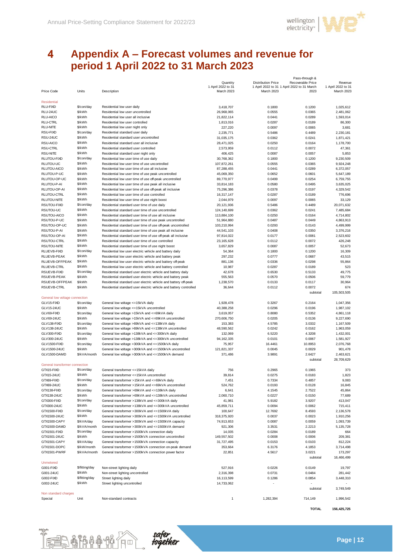

Pass-through &

### <span id="page-11-0"></span> $\overline{\mathbf{4}}$ **Appendix A – Forecast volumes and revenue for period 1 April 2022 to 31 March 2023**

|                                |                |                                                                   | Quantity           | <b>Distribution Price</b> | ι ασσ-τιπυυψιια<br>Recoverable Price        | Revenue            |
|--------------------------------|----------------|-------------------------------------------------------------------|--------------------|---------------------------|---------------------------------------------|--------------------|
|                                |                |                                                                   | 1 April 2022 to 31 |                           | 1 April 2022 to 31 1 April 2022 to 31 March | 1 April 2022 to 31 |
| Price Code                     | Units          | Description                                                       | March 2023         | March 2023                | 2023                                        | March 2023         |
|                                |                |                                                                   |                    |                           |                                             |                    |
| <b>Residential</b>             |                |                                                                   |                    |                           |                                             |                    |
| RLU-FIXD                       | \$/con/day     | Residential low user daily                                        | 3,418,707          | 0.1800                    | 0.1200                                      | 1,025,612          |
| RLU-24UC                       | \$/kWh         | Residential low user uncontrolled                                 | 26,968,065         | 0.0555                    | 0.0365                                      | 2,481,062          |
| RLU-AICO                       | \$/kWh         | Residential low user all inclusive                                | 21,822,114         | 0.0441                    | 0.0289                                      | 1,593,014          |
| <b>RLU-CTRL</b>                | \$/kWh         | Residential low user controlled                                   | 1,813,016          | 0.0287                    | 0.0189                                      | 86,300             |
| <b>RLU-NITE</b>                | \$/kWh         | Residential low user night only                                   |                    |                           |                                             |                    |
| RSU-FIXD                       | \$/con/day     | Residential standard user daily                                   | 227,220            | 0.0097                    | 0.0065                                      | 3,681              |
|                                |                |                                                                   | 2,235,771          | 0.5486                    | 0.4489                                      | 2,230,181          |
| RSU-24UC                       | \$/kWh         | Residential standard user uncontrolled                            | 31,035,175         | 0.0362                    | 0.0241                                      | 1,871,421          |
| RSU-AICO                       | \$/kWh         | Residential standard user all inclusive                           | 28,471,025         | 0.0250                    | 0.0164                                      | 1,178,700          |
| RSU-CTRL                       | \$/kWh         | Residential standard user controlled                              | 2,573,959          | 0.0112                    | 0.0072                                      | 47,361             |
| <b>RSU-NITE</b>                | \$/kWh         | Residential standard user night only                              | 406,425            | 0.0087                    | 0.0057                                      | 5,853              |
| RLUTOU-FIXD                    | \$/con/day     | Residential low user time of use daily                            | 30,768,362         | 0.1800                    | 0.1200                                      | 9,230,509          |
| RLUTOU-UC                      | \$/kWh         | Residential low user time of use uncontrolled                     | 107,872,261        | 0.0555                    | 0.0365                                      | 9,924,248          |
| RLUTOU-AICO                    | \$/kWh         | Residential low user time of use all inclusive                    | 87,288,455         | 0.0441                    | 0.0289                                      | 6,372,057          |
| RLUTOU-P-UC                    | \$/kWh         | Residential low user time of use peak uncontrolled                | 45,069,350         | 0.0652                    | 0.0601                                      | 5,647,189          |
| RLUTOU-OP-UC                   | \$/kWh         | Residential low user time of use off-peak uncontrolled            | 89,770,977         | 0.0499                    | 0.0254                                      | 6,759,755          |
| RLUTOU-P-AI                    | \$/kWh         | Residential low user time of use peak all inclusive               | 33,814,183         | 0.0580                    | 0.0495                                      | 3,635,025          |
| RLUTOU-OP-AI                   | \$/kWh         | Residential low user time of use off-peak all inclusive           | 75,296,386         | 0.0378                    | 0.0197                                      | 4,329,542          |
| RLUTOU-CTRL                    | \$/kWh         | Residential low user time of use controlled                       | 16,317,147         | 0.0287                    | 0.0189                                      | 776,696            |
|                                | \$/kWh         |                                                                   |                    |                           |                                             |                    |
| RLUTOU-NITE                    |                | Residential low user time of use night boost                      | 2,044,979          | 0.0097                    | 0.0065                                      | 33,129             |
| RSUTOU-FIXD                    | \$/con/day     | Residential standard user time of use daily                       | 20,121,936         | 0.5486                    | 0.4489                                      | 20,071,632         |
| RSUTOU-UC                      | \$/kWh         | Residential standard user time of use uncontrolled                | 124,140,699        | 0.0362                    | 0.0241                                      | 7,485,684          |
| RSUTOU-AICO                    | \$/kWh         | Residential standard user time of use all inclusive               | 113,884,100        | 0.0250                    | 0.0164                                      | 4,714,802          |
| RSUTOU-P-UC                    | \$/kWh         | Residential standard user time of use peak uncontrolled           | 51,964,880         | 0.0487                    | 0.0449                                      | 4,863,913          |
| RSUTOU-OP-UC                   | \$/kWh         | Residential standard user time of use off-peak uncontrolled       | 103,210,994        | 0.0293                    | 0.0143                                      | 4,499,999          |
| RSUTOU-P-AI                    | \$/kWh         | Residential standard user time of use peak all inclusive          | 44,541,103         | 0.0408                    | 0.0350                                      | 3,376,216          |
| RSUTOU-OP-AI                   | \$/kWh         | Residential standard user time of use off-peak all inclusive      | 97,814,022         | 0.0177                    | 0.0081                                      | 2,523,602          |
| <b>RSUTOU-CTRL</b>             | \$/kWh         | Residential standard user time of use controlled                  | 23, 165, 628       | 0.0112                    | 0.0072                                      | 426,248            |
| RSUTOU-NITE                    | \$/kWh         | Residential standard user time of use night boost                 | 3,657,829          | 0.0087                    | 0.0057                                      | 52,673             |
| RLUEVB-FIXD                    | \$/con/day     | Residential low user electric vehicle and battery daily           | 54,364             | 0.1800                    | 0.1200                                      | 16,309             |
| RLUEVB-PEAK                    | \$/kWh         | Residential low user electric vehicle and battery peak            | 297,232            | 0.0777                    | 0.0687                                      | 43,515             |
| RLUEVB-OFFPEAK                 | \$/kWh         |                                                                   |                    |                           |                                             | 55,864             |
|                                | \$/kWh         | Residential low user electric vehicle and battery off-peak        | 881,136            | 0.0336                    | 0.0298                                      |                    |
| RLUEVB-CTRL                    |                | Residential low user electric vehicle and battery controlled      | 10,987             | 0.0287                    | 0.0189                                      | 523                |
| RSUEVB-FIXD                    | \$/con/day     | Residential standard user electric vehicle and battery daily      | 42,678             | 0.6530                    | 0.5133                                      | 49,775             |
| RSUEVB-PEAK                    | \$/kWh         | Residential standard user electric vehicle and battery peak       | 555,563            | 0.0570                    | 0.0506                                      | 59,779             |
| RSUEVB-OFFPEAK                 | \$/kWh         | Residential standard user electric vehicle and battery off-peak   | 1,238,570          | 0.0133                    | 0.0117                                      | 30,964             |
| <b>RSUEVB-CTRL</b>             | \$/kWh         | Residential standard user electric vehicle and battery controlled | 36,644             | 0.0112                    | 0.0072                                      | 674                |
|                                |                |                                                                   |                    |                           | subtotal                                    | 105,503,505        |
| General low voltage connection |                |                                                                   |                    |                           |                                             |                    |
| GLV15-FIXD                     | \$/con/day     | General low voltage <= 15kVA daily                                | 1,928,478          | 0.3267                    | 0.2164                                      | 1,047,356          |
| GLV15-24UC                     | \$/kWh         | General low voltage <= 15kVA uncontrolled                         | 40,388,258         | 0.0296                    | 0.0196                                      | 1,987,102          |
| GLV69-FIXD                     | \$/con/day     | General low voltage >15kVA and <= 69kVA daily                     | 3,619,057          | 0.8080                    | 0.5352                                      | 4,861,118          |
| GLV69-24UC                     | \$/kWh         | General low voltage >15kVA and <= 69kVA uncontrolled              | 270,606,750        | 0.0205                    | 0.0136                                      | 9,227,690          |
| GLV138-FIXD                    | \$/con/day     | General low voltage >69kVA and <= 138kVA daily                    | 153,383            | 4.5785                    | 3.0332                                      | 1,167,509          |
| GLV138-24UC                    | \$/kWh         | General low voltage >69kVA and <= 138kVA uncontrolled             | 48,590,562         | 0.0242                    | 0.0162                                      | 1,963,059          |
| GLV300-FIXD                    | \$/con/day     | General low voltage >138kVA and <= 300kVA daily                   | 132,069            | 6.5220                    | 4.3208                                      | 1,432,001          |
|                                | \$/kWh         |                                                                   |                    |                           |                                             | 1,581,927          |
| GLV300-24UC                    |                | General low voltage >138kVA and <= 300kVA uncontrolled            | 94, 162, 335       | 0.0101                    | 0.0067                                      |                    |
| GLV1500-FIXD                   | \$/con/day     | General low voltage >300kVA and <= 1500kVA daily                  | 75,957             | 16.4461                   | 10.8953                                     | 2,076,768          |
| GLV1500-24UC                   | \$/kWh         | General low voltage >300kVA and <= 1500kVA uncontrolled           | 121,821,337        | 0.0045                    | 0.0029                                      | 901,478            |
| GLV1500-DAMD                   | \$/kVA/month   | General low voltage >300kVA and <= 1500kVA demand                 | 371,486            | 3.9891                    | 2.6427                                      | 2,463,621          |
|                                |                |                                                                   |                    |                           | subtotal                                    | 28,709,629         |
| General transformer connection |                |                                                                   |                    |                           |                                             |                    |
| GTX15-FIXD                     | \$/con/day     | General transformer <= 15kVA daily                                | 756                | 0.2965                    | 0.1965                                      | 373                |
| GTX15-24UC                     | \$/kWh         | General transformer <= 15kVA uncontrolled                         | 39,814             | 0.0275                    | 0.0183                                      | 1,823              |
| GTX69-FIXD                     | \$/con/day     | General transformer >15kVA and <= 69kVA daily                     | 7,451              | 0.7334                    | 0.4857                                      | 9,083              |
| GTX69-24UC                     | \$/kWh         | General transformer >15kVA and <= 69kVA uncontrolled              | 524,762            | 0.0193                    | 0.0128                                      | 16,845             |
| GTX138-FIXD                    | \$/con/day     | General transformer >69kVA and <= 138kVA daily                    | 6,641              | 4.1545                    | 2.7522                                      | 45,864             |
| GTX138-24UC                    | \$/kWh         | General transformer >69kVA and <=138kVA uncontrolled              | 2,060,710          | 0.0227                    | 0.0150                                      | 77,689             |
| GTX300-FIXD                    | \$/con/day     | General transformer >138kVA and <= 300kVA daily                   | 41,981             | 5.9182                    | 3.9207                                      | 413,047            |
| GTX300-24UC                    | \$/kWh         |                                                                   | 45,859,711         |                           |                                             |                    |
|                                | \$/con/day     | General transformer >138kVA and <= 300kVA uncontrolled            |                    | 0.0094                    | 0.0062                                      | 715,411            |
| GTX1500-FIXD                   |                | General transformer >300kVA and <=1500kVA daily                   | 100,647            | 12.7692                   | 8.4593                                      | 2,136,578          |
| GTX1500-24UC                   | \$/kWh         | General transformer >300kVA and <= 1500kVA uncontrolled           | 318,375,920        | 0.0037                    | 0.0023                                      | 1,910,256          |
| GTX1500-CAPY                   | \$/kVA/day     | General transformer >300kVA and <= 1500kVA capacity               | 74,913,653         | 0.0087                    | 0.0059                                      | 1,093,739          |
| GTX1500-DAMD                   | \$/kVA/month   | General transformer >300kVA and <= 1500kVA demand                 | 921,306            | 3.3531                    | 2.2213                                      | 5,135,728          |
| GTX1501-FIXD                   | \$/con/day     | General transformer >1500kVA connection daily                     | 14,035             | 0.0284                    | 0.0189                                      | 664                |
| GTX1501-24UC                   | \$/kWh         | General transformer >1500kVA connection uncontrolled              | 149,557,502        | 0.0008                    | 0.0006                                      | 209,381            |
| GTX1501-CAPY                   | \$/kVA/day     | General transformer >1500kVA connection capacity                  | 31,727,495         | 0.0153                    | 0.0103                                      | 812,224            |
| GTX1501-DOPC                   | \$/kW/month    | General transformer >1500kVA connection on-peak demand            | 353,664            | 6.3176                    | 4.1853                                      | 3,714,498          |
| GTX1501-PWRF                   | \$/kVAr/month  | General transformer >1500kVA connection power factor              | 22,851             | 4.5617                    | 3.0221                                      | 173,297            |
|                                |                |                                                                   |                    |                           | subtotal                                    | 16,466,499         |
| <b>Unmetered</b>               |                |                                                                   |                    |                           |                                             |                    |
| G001-FIXD                      | \$/fitting/day | Non-street lighting daily                                         | 527,916            | 0.0226                    | 0.0149                                      | 19,797             |
| G001-24UC                      | \$/kWh         | Non-street lighting uncontrolled                                  | 2,316,398          | 0.0731                    | 0.0484                                      | 281,442            |
| G002-FIXD                      | \$/fitting/day | Street lighting daily                                             | 16,113,599         | 0.1286                    | 0.0854                                      | 3,448,310          |
|                                | \$/kWh         |                                                                   |                    |                           |                                             |                    |
| G002-24UC                      |                | Street lighting uncontrolled                                      | 14,733,062         |                           |                                             |                    |
|                                |                |                                                                   |                    |                           | subtotal                                    | 3,749,549          |
| Non standard charges           |                |                                                                   |                    |                           |                                             |                    |
| Special                        | Unit           | Non-standard contracts                                            | $\mathbf{1}$       | 1,282,394                 | 714,149                                     | 1,996,542          |
|                                |                |                                                                   |                    |                           |                                             |                    |
|                                |                |                                                                   |                    |                           | <b>TOTAL</b>                                | 156,425,725        |